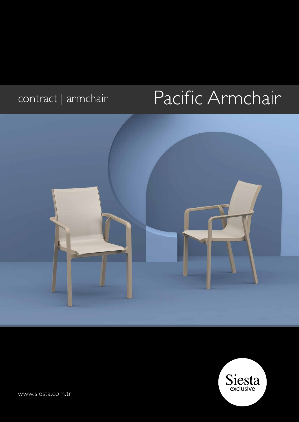# contract | armchair Pacific Armchair





[www.siesta.com.tr](http://siesta.com.tr)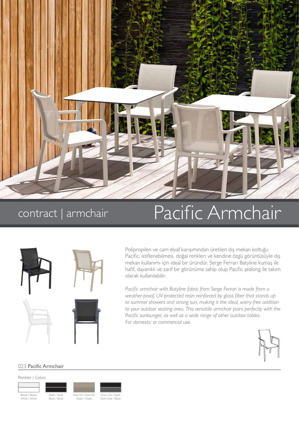

## contract | armchair

## Pacific Armchair



Polipropilen ve cam elyaf karışımından üretilen dış mekan koltuğu Pacific, istiflenebilmesi, doğal renkleri ve kendine özgü görüntüsüyle dış mekan kullanımı için ideal bir üründür. Serge Ferrari Batyline kumaş ile hafif, dayanıklı ve zarif bir görünüme sahip olup Pacific şezlong ile takım olarak kullanılabilir.

*Pacific armchair with Batyline fabric from Serge Ferrari is made from a weather-proof, UV-protected resin reinforced by glass fiber that stands up to summer showers and strong sun, making it the ideal, worry-free addition to your outdoor seating area. This versatile armchair pairs perfectly with the Pacific sunlounger, as well as a wide range of other outdoor tables. For domestic or commercial use.*



#### 023 Pacific Armchair

Renkler / *Colors*



Siyah / Siyah *Black / Black*



Koyu Gri / Siy *Dark Grey / Black*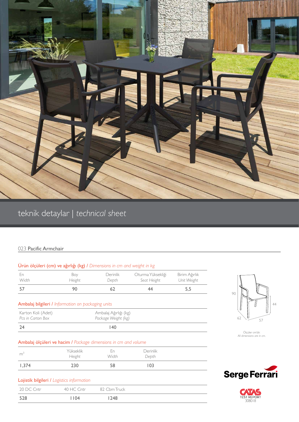

## teknik detaylar | *technical sheet*

### 023 Pacific Armchair

| Urün ölçüleri (cm) ve ağırlığı (kg) / Dimensions in cm and weight in kg           |                                              |                   |                                  |                              |                                |
|-----------------------------------------------------------------------------------|----------------------------------------------|-------------------|----------------------------------|------------------------------|--------------------------------|
| En<br>Width                                                                       | Boy<br>Height                                | Derinlik<br>Depth | Oturma Yüksekliği<br>Seat Height | Birim Ağırlık<br>Unit Weight |                                |
| 57                                                                                | 90                                           | 62                | 44                               | 5,5                          | 90                             |
| Ambalaj bilgileri / Information on packaging units                                |                                              |                   |                                  |                              |                                |
| Karton Koli (Adet)<br>Pcs in Carton Box                                           | Ambalaj Ağırlığı (kg)<br>Package Weight (kg) |                   |                                  |                              | 62                             |
| 24                                                                                |                                              | 40                |                                  |                              |                                |
| Ambalaj ölçüleri ve hacim / Package dimensions in cm and volume<br>m <sup>3</sup> | Yükseklik<br>Height                          | En<br>Width       | Derinlik<br>Depth                |                              | Ölçüler cn<br>All dimensions a |
| 1,374                                                                             | 230                                          | 58                | 103                              |                              |                                |
| Lojistik bilgileri / Logistics information                                        |                                              |                   |                                  |                              | <b>Serge F</b>                 |
| 20 DC Cntr                                                                        | 40 HC Cntr                                   | 82 Cbm Truck      |                                  |                              |                                |
| 528                                                                               | 1104                                         | 1248              |                                  |                              | 308018                         |



Ölçüler cm'dir. *All dimensions are in cm.*